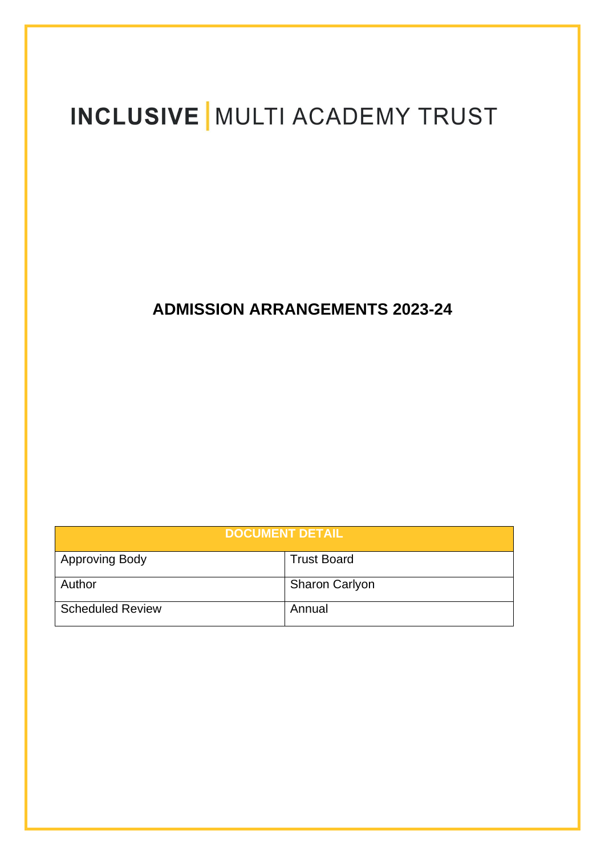# INCLUSIVE MULTI ACADEMY TRUST

# **ADMISSION ARRANGEMENTS 2023-24**

| <b>DOCUMENT DETAIL</b>  |                       |
|-------------------------|-----------------------|
| <b>Approving Body</b>   | <b>Trust Board</b>    |
| Author                  | <b>Sharon Carlyon</b> |
| <b>Scheduled Review</b> | Annual                |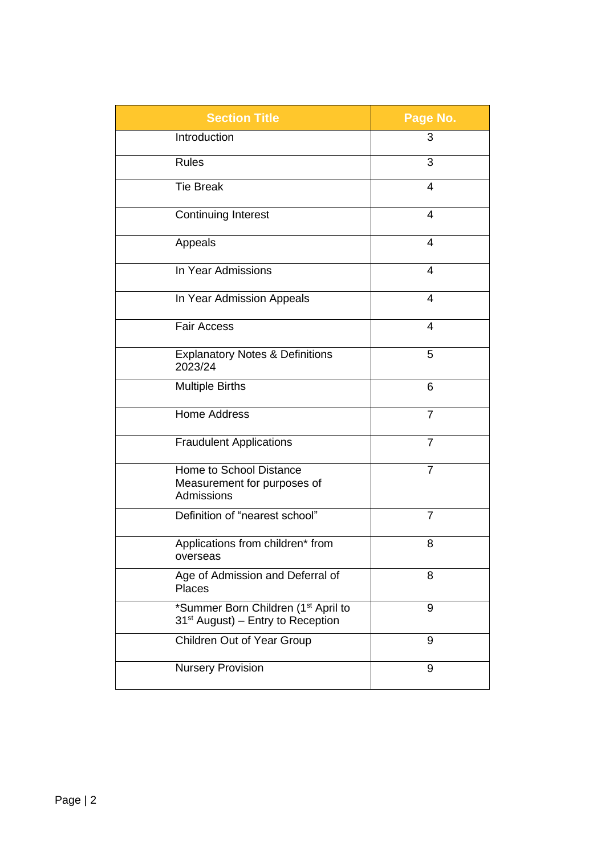| <b>Section Title</b>                                                                             | Page No.       |
|--------------------------------------------------------------------------------------------------|----------------|
| Introduction                                                                                     | 3              |
| <b>Rules</b>                                                                                     | 3              |
| <b>Tie Break</b>                                                                                 | 4              |
| <b>Continuing Interest</b>                                                                       | 4              |
| Appeals                                                                                          | 4              |
| In Year Admissions                                                                               | 4              |
| In Year Admission Appeals                                                                        | 4              |
| <b>Fair Access</b>                                                                               | 4              |
| <b>Explanatory Notes &amp; Definitions</b><br>2023/24                                            | 5              |
| <b>Multiple Births</b>                                                                           | 6              |
| <b>Home Address</b>                                                                              | $\overline{7}$ |
| <b>Fraudulent Applications</b>                                                                   | $\overline{7}$ |
| Home to School Distance<br>Measurement for purposes of<br>Admissions                             | $\overline{7}$ |
| Definition of "nearest school"                                                                   | $\overline{7}$ |
| Applications from children* from<br>overseas                                                     | 8              |
| Age of Admission and Deferral of<br><b>Places</b>                                                | 8              |
| *Summer Born Children (1 <sup>st</sup> April to<br>31 <sup>st</sup> August) – Entry to Reception | 9              |
| Children Out of Year Group                                                                       | 9              |
| <b>Nursery Provision</b>                                                                         | 9              |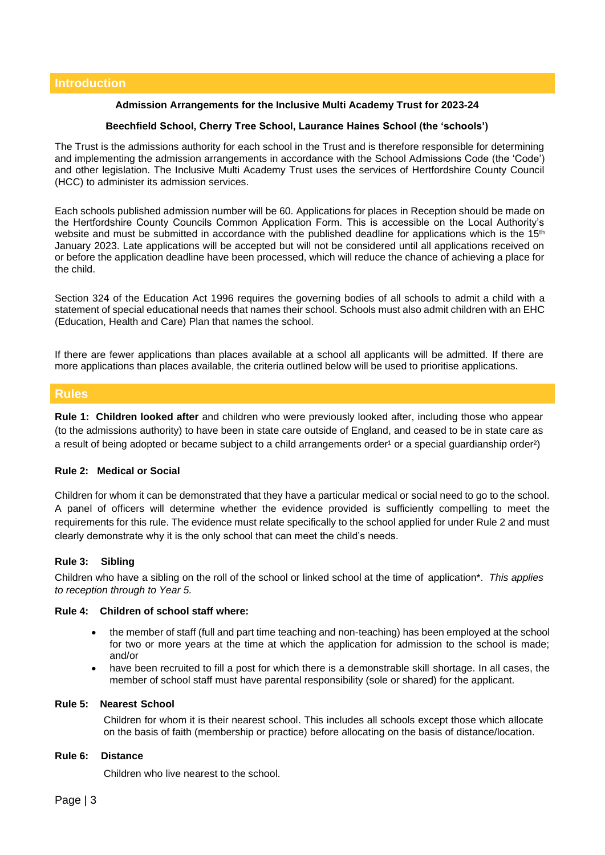# **Admission Arrangements for the Inclusive Multi Academy Trust for 2023-24**

# **Beechfield School, Cherry Tree School, Laurance Haines School (the 'schools')**

The Trust is the admissions authority for each school in the Trust and is therefore responsible for determining and implementing the admission arrangements in accordance with the School Admissions Code (the 'Code') and other legislation. The Inclusive Multi Academy Trust uses the services of Hertfordshire County Council (HCC) to administer its admission services.

Each schools published admission number will be 60. Applications for places in Reception should be made on the Hertfordshire County Councils Common Application Form. This is accessible on the Local Authority's website and must be submitted in accordance with the published deadline for applications which is the 15<sup>th</sup> January 2023. Late applications will be accepted but will not be considered until all applications received on or before the application deadline have been processed, which will reduce the chance of achieving a place for the child.

Section 324 of the Education Act 1996 requires the governing bodies of all schools to admit a child with a statement of special educational needs that names their school. Schools must also admit children with an EHC (Education, Health and Care) Plan that names the school.

If there are fewer applications than places available at a school all applicants will be admitted. If there are more applications than places available, the criteria outlined below will be used to prioritise applications.

# **Rules**

**Rule 1: Children looked after** and children who were previously looked after, including those who appear (to the admissions authority) to have been in state care outside of England, and ceased to be in state care as a result of being adopted or became subject to a child arrangements order<sup>1</sup> or a special guardianship order<sup>2</sup>)

# **Rule 2: Medical or Social**

Children for whom it can be demonstrated that they have a particular medical or social need to go to the school. A panel of officers will determine whether the evidence provided is sufficiently compelling to meet the requirements for this rule. The evidence must relate specifically to the school applied for under Rule 2 and must clearly demonstrate why it is the only school that can meet the child's needs.

# **Rule 3: Sibling**

Children who have a sibling on the roll of the school or linked school at the time of application\*. *This applies to reception through to Year 5.*

#### **Rule 4: Children of school staff where:**

- the member of staff (full and part time teaching and non-teaching) has been employed at the school for two or more years at the time at which the application for admission to the school is made; and/or
- have been recruited to fill a post for which there is a demonstrable skill shortage. In all cases, the member of school staff must have parental responsibility (sole or shared) for the applicant.

#### **Rule 5: Nearest School**

Children for whom it is their nearest school. This includes all schools except those which allocate on the basis of faith (membership or practice) before allocating on the basis of distance/location.

#### **Rule 6: Distance**

Children who live nearest to the school.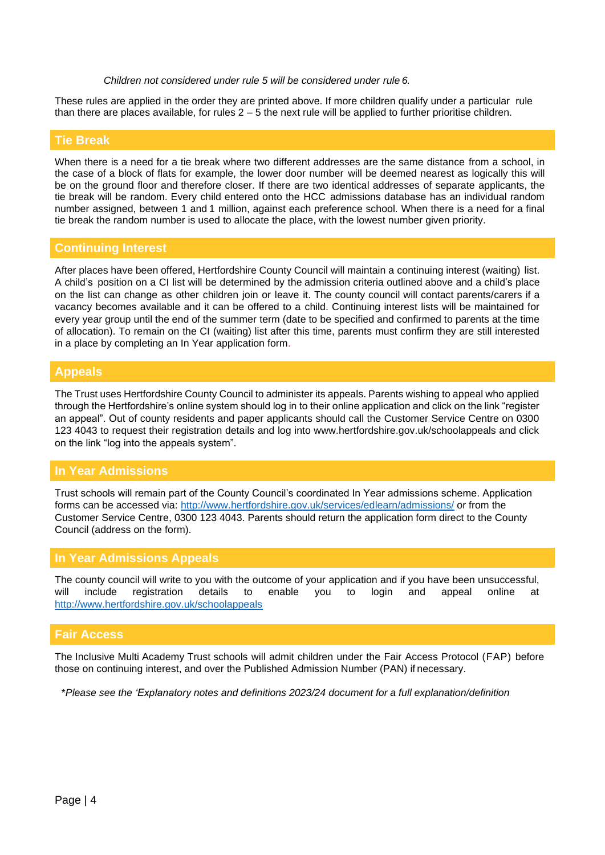*Children not considered under rule 5 will be considered under rule 6.*

These rules are applied in the order they are printed above. If more children qualify under a particular rule than there are places available, for rules  $2 - 5$  the next rule will be applied to further prioritise children.

#### **Tie Break**

When there is a need for a tie break where two different addresses are the same distance from a school, in the case of a block of flats for example, the lower door number will be deemed nearest as logically this will be on the ground floor and therefore closer. If there are two identical addresses of separate applicants, the tie break will be random. Every child entered onto the HCC admissions database has an individual random number assigned, between 1 and 1 million, against each preference school. When there is a need for a final tie break the random number is used to allocate the place, with the lowest number given priority.

#### **Continuing Interest**

After places have been offered, Hertfordshire County Council will maintain a continuing interest (waiting) list. A child's position on a CI list will be determined by the admission criteria outlined above and a child's place on the list can change as other children join or leave it. The county council will contact parents/carers if a vacancy becomes available and it can be offered to a child. Continuing interest lists will be maintained for every year group until the end of the summer term (date to be specified and confirmed to parents at the time of allocation). To remain on the CI (waiting) list after this time, parents must confirm they are still interested in a place by completing an In Year application form.

#### **Appeals**

The Trust uses Hertfordshire County Council to administer its appeals. Parents wishing to appeal who applied through the Hertfordshire's online system should log in to their online application and click on the link "register an appeal". Out of county residents and paper applicants should call the Customer Service Centre on 0300 123 4043 to request their registration details and log into www.hertfordshire.gov.uk/schoolappeals and click on the link "log into the appeals system".

# **In Year Admissions**

Trust schools will remain part of the County Council's coordinated In Year admissions scheme. Application forms can be accessed via:<http://www.hertfordshire.gov.uk/services/edlearn/admissions/> or from the Customer Service Centre, 0300 123 4043. Parents should return the application form direct to the County Council (address on the form).

# **In Year Admissions Appeals**

The county council will write to you with the outcome of your application and if you have been unsuccessful, will include registration details to enable you to login and appeal online at <http://www.hertfordshire.gov.uk/schoolappeals>

# **Fair Access**

The Inclusive Multi Academy Trust schools will admit children under the Fair Access Protocol (FAP) before those on continuing interest, and over the Published Admission Number (PAN) if necessary.

\**Please see the 'Explanatory notes and definitions 2023/24 document for a full explanation/definition*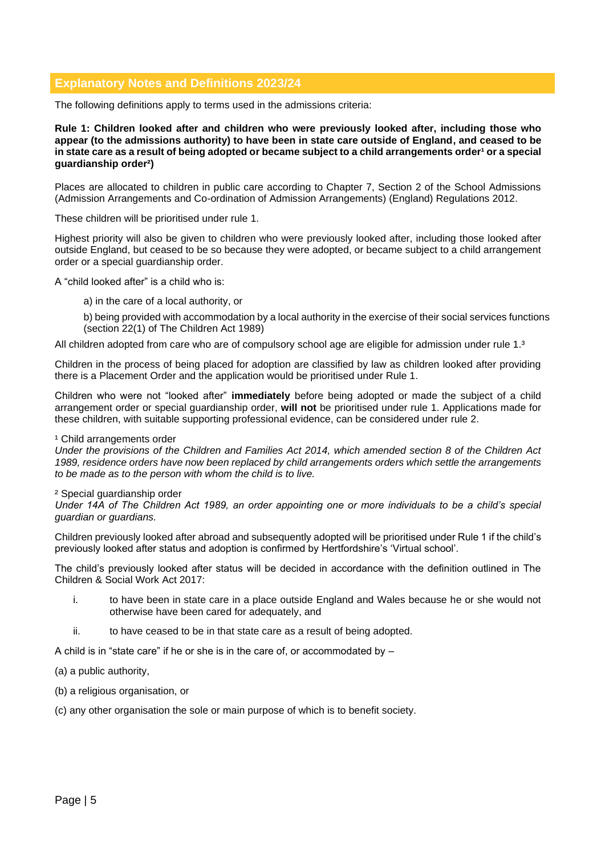# **Explanatory Notes and Definitions 2023/24**

The following definitions apply to terms used in the admissions criteria:

**Rule 1: Children looked after and children who were previously looked after, including those who appear (to the admissions authority) to have been in state care outside of England, and ceased to be in state care as a result of being adopted or became subject to a child arrangements order<sup>1</sup> or a special guardianship order²)** 

Places are allocated to children in public care according to Chapter 7, Section 2 of the School Admissions (Admission Arrangements and Co-ordination of Admission Arrangements) (England) Regulations 2012.

These children will be prioritised under rule 1.

Highest priority will also be given to children who were previously looked after, including those looked after outside England, but ceased to be so because they were adopted, or became subject to a child arrangement order or a special guardianship order.

A "child looked after" is a child who is:

- a) in the care of a local authority, or
- b) being provided with accommodation by a local authority in the exercise of their social services functions (section 22(1) of The Children Act 1989)

All children adopted from care who are of compulsory school age are eligible for admission under rule 1.<sup>3</sup>

Children in the process of being placed for adoption are classified by law as children looked after providing there is a Placement Order and the application would be prioritised under Rule 1.

Children who were not "looked after" **immediately** before being adopted or made the subject of a child arrangement order or special guardianship order, **will not** be prioritised under rule 1. Applications made for these children, with suitable supporting professional evidence, can be considered under rule 2.

#### <sup>1</sup> Child arrangements order

*Under the provisions of the Children and Families Act 2014, which amended section 8 of the Children Act 1989, residence orders have now been replaced by child arrangements orders which settle the arrangements to be made as to the person with whom the child is to live.* 

#### ² Special guardianship order

*Under 14A of The Children Act 1989, an order appointing one or more individuals to be a child's special guardian or guardians.*

Children previously looked after abroad and subsequently adopted will be prioritised under Rule 1 if the child's previously looked after status and adoption is confirmed by Hertfordshire's 'Virtual school'.

The child's previously looked after status will be decided in accordance with the definition outlined in The Children & Social Work Act 2017:

- i. to have been in state care in a place outside England and Wales because he or she would not otherwise have been cared for adequately, and
- ii. to have ceased to be in that state care as a result of being adopted.

A child is in "state care" if he or she is in the care of, or accommodated by –

- (a) a public authority,
- (b) a religious organisation, or

(c) any other organisation the sole or main purpose of which is to benefit society.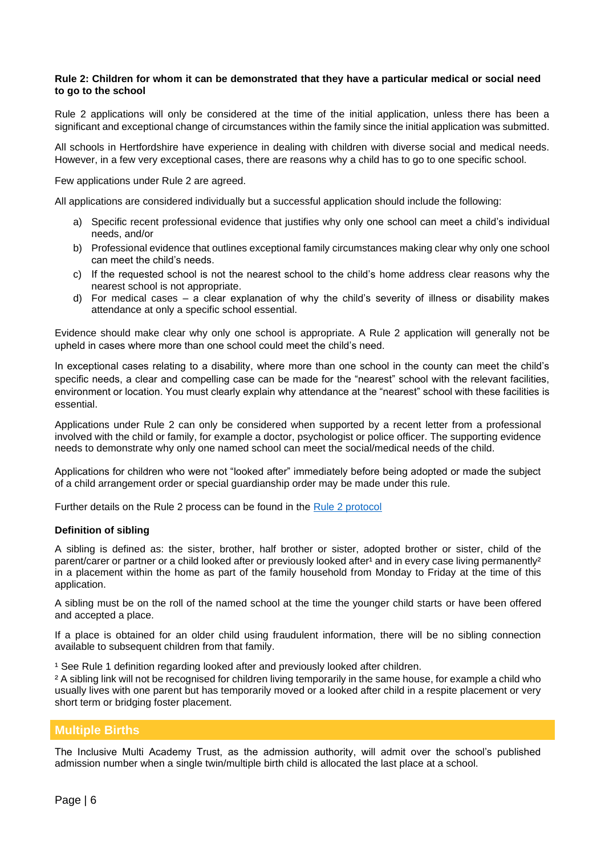#### **Rule 2: Children for whom it can be demonstrated that they have a particular medical or social need to go to the school**

Rule 2 applications will only be considered at the time of the initial application, unless there has been a significant and exceptional change of circumstances within the family since the initial application was submitted.

All schools in Hertfordshire have experience in dealing with children with diverse social and medical needs. However, in a few very exceptional cases, there are reasons why a child has to go to one specific school.

Few applications under Rule 2 are agreed.

All applications are considered individually but a successful application should include the following:

- a) Specific recent professional evidence that justifies why only one school can meet a child's individual needs, and/or
- b) Professional evidence that outlines exceptional family circumstances making clear why only one school can meet the child's needs.
- c) If the requested school is not the nearest school to the child's home address clear reasons why the nearest school is not appropriate.
- d) For medical cases a clear explanation of why the child's severity of illness or disability makes attendance at only a specific school essential.

Evidence should make clear why only one school is appropriate. A Rule 2 application will generally not be upheld in cases where more than one school could meet the child's need.

In exceptional cases relating to a disability, where more than one school in the county can meet the child's specific needs, a clear and compelling case can be made for the "nearest" school with the relevant facilities, environment or location. You must clearly explain why attendance at the "nearest" school with these facilities is essential.

Applications under Rule 2 can only be considered when supported by a recent letter from a professional involved with the child or family, for example a doctor, psychologist or police officer. The supporting evidence needs to demonstrate why only one named school can meet the social/medical needs of the child.

Applications for children who were not "looked after" immediately before being adopted or made the subject of a child arrangement order or special guardianship order may be made under this rule.

Further details on the Rule 2 process can be found in the [Rule 2 protocol](https://www.hertfordshire.gov.uk/media-library/documents/schools-and-education/admissions/rule-2-protocol.pdf)

# **Definition of sibling**

A sibling is defined as: the sister, brother, half brother or sister, adopted brother or sister, child of the parent/carer or partner or a child looked after or previously looked after<sup>1</sup> and in every case living permanently<sup>2</sup> in a placement within the home as part of the family household from Monday to Friday at the time of this application.

A sibling must be on the roll of the named school at the time the younger child starts or have been offered and accepted a place.

If a place is obtained for an older child using fraudulent information, there will be no sibling connection available to subsequent children from that family.

<sup>1</sup> See Rule 1 definition regarding looked after and previously looked after children.

² A sibling link will not be recognised for children living temporarily in the same house, for example a child who usually lives with one parent but has temporarily moved or a looked after child in a respite placement or very short term or bridging foster placement.

# **Multiple Births**

The Inclusive Multi Academy Trust, as the admission authority, will admit over the school's published admission number when a single twin/multiple birth child is allocated the last place at a school.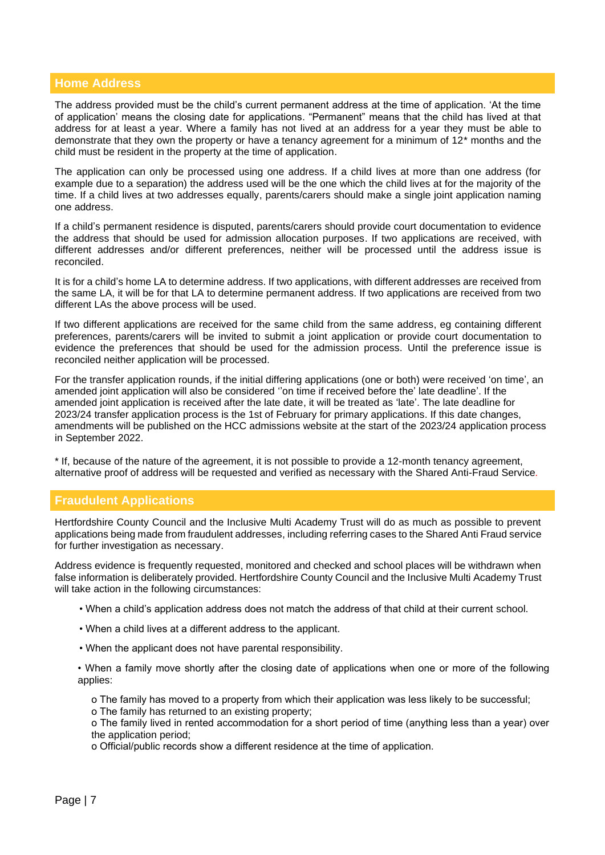# **Home Address**

The address provided must be the child's current permanent address at the time of application. 'At the time of application' means the closing date for applications. "Permanent" means that the child has lived at that address for at least a year. Where a family has not lived at an address for a year they must be able to demonstrate that they own the property or have a tenancy agreement for a minimum of 12\* months and the child must be resident in the property at the time of application.

The application can only be processed using one address. If a child lives at more than one address (for example due to a separation) the address used will be the one which the child lives at for the majority of the time. If a child lives at two addresses equally, parents/carers should make a single joint application naming one address.

If a child's permanent residence is disputed, parents/carers should provide court documentation to evidence the address that should be used for admission allocation purposes. If two applications are received, with different addresses and/or different preferences, neither will be processed until the address issue is reconciled.

It is for a child's home LA to determine address. If two applications, with different addresses are received from the same LA, it will be for that LA to determine permanent address. If two applications are received from two different LAs the above process will be used.

If two different applications are received for the same child from the same address, eg containing different preferences, parents/carers will be invited to submit a joint application or provide court documentation to evidence the preferences that should be used for the admission process. Until the preference issue is reconciled neither application will be processed.

For the transfer application rounds, if the initial differing applications (one or both) were received 'on time', an amended joint application will also be considered ''on time if received before the' late deadline'. If the amended joint application is received after the late date, it will be treated as 'late'. The late deadline for 2023/24 transfer application process is the 1st of February for primary applications. If this date changes, amendments will be published on the HCC admissions website at the start of the 2023/24 application process in September 2022.

\* If, because of the nature of the agreement, it is not possible to provide a 12-month tenancy agreement, alternative proof of address will be requested and verified as necessary with the Shared Anti-Fraud Service*.*

# **Fraudulent Applications**

Hertfordshire County Council and the Inclusive Multi Academy Trust will do as much as possible to prevent applications being made from fraudulent addresses, including referring cases to the Shared Anti Fraud service for further investigation as necessary.

Address evidence is frequently requested, monitored and checked and school places will be withdrawn when false information is deliberately provided. Hertfordshire County Council and the Inclusive Multi Academy Trust will take action in the following circumstances:

- When a child's application address does not match the address of that child at their current school.
- When a child lives at a different address to the applicant.
- When the applicant does not have parental responsibility.

• When a family move shortly after the closing date of applications when one or more of the following applies:

ο The family has moved to a property from which their application was less likely to be successful; ο The family has returned to an existing property;

ο The family lived in rented accommodation for a short period of time (anything less than a year) over the application period;

ο Official/public records show a different residence at the time of application.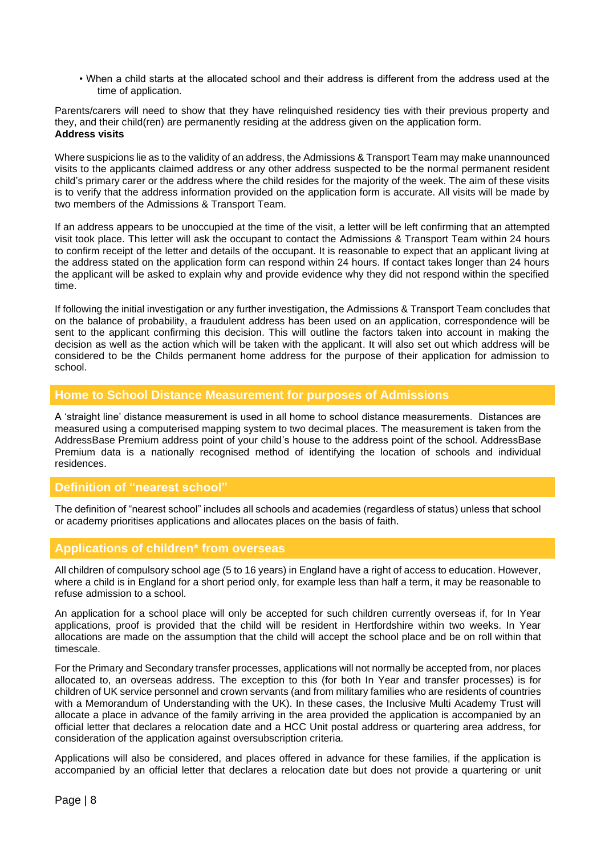• When a child starts at the allocated school and their address is different from the address used at the time of application.

Parents/carers will need to show that they have relinquished residency ties with their previous property and they, and their child(ren) are permanently residing at the address given on the application form. **Address visits**

Where suspicions lie as to the validity of an address, the Admissions & Transport Team may make unannounced visits to the applicants claimed address or any other address suspected to be the normal permanent resident child's primary carer or the address where the child resides for the majority of the week. The aim of these visits is to verify that the address information provided on the application form is accurate. All visits will be made by two members of the Admissions & Transport Team.

If an address appears to be unoccupied at the time of the visit, a letter will be left confirming that an attempted visit took place. This letter will ask the occupant to contact the Admissions & Transport Team within 24 hours to confirm receipt of the letter and details of the occupant. It is reasonable to expect that an applicant living at the address stated on the application form can respond within 24 hours. If contact takes longer than 24 hours the applicant will be asked to explain why and provide evidence why they did not respond within the specified time.

If following the initial investigation or any further investigation, the Admissions & Transport Team concludes that on the balance of probability, a fraudulent address has been used on an application, correspondence will be sent to the applicant confirming this decision. This will outline the factors taken into account in making the decision as well as the action which will be taken with the applicant. It will also set out which address will be considered to be the Childs permanent home address for the purpose of their application for admission to school.

# **Home to School Distance Measurement for purposes of Admissions**

A 'straight line' distance measurement is used in all home to school distance measurements. Distances are measured using a computerised mapping system to two decimal places. The measurement is taken from the AddressBase Premium address point of your child's house to the address point of the school. AddressBase Premium data is a nationally recognised method of identifying the location of schools and individual residences.

# **Definition of "nearest school"**

The definition of "nearest school" includes all schools and academies (regardless of status) unless that school or academy prioritises applications and allocates places on the basis of faith.

# **Applications of children\* from overseas**

All children of compulsory school age (5 to 16 years) in England have a right of access to education. However, where a child is in England for a short period only, for example less than half a term, it may be reasonable to refuse admission to a school.

An application for a school place will only be accepted for such children currently overseas if, for In Year applications, proof is provided that the child will be resident in Hertfordshire within two weeks. In Year allocations are made on the assumption that the child will accept the school place and be on roll within that timescale.

For the Primary and Secondary transfer processes, applications will not normally be accepted from, nor places allocated to, an overseas address. The exception to this (for both In Year and transfer processes) is for children of UK service personnel and crown servants (and from military families who are residents of countries with a Memorandum of Understanding with the UK). In these cases, the Inclusive Multi Academy Trust will allocate a place in advance of the family arriving in the area provided the application is accompanied by an official letter that declares a relocation date and a HCC Unit postal address or quartering area address, for consideration of the application against oversubscription criteria.

Applications will also be considered, and places offered in advance for these families, if the application is accompanied by an official letter that declares a relocation date but does not provide a quartering or unit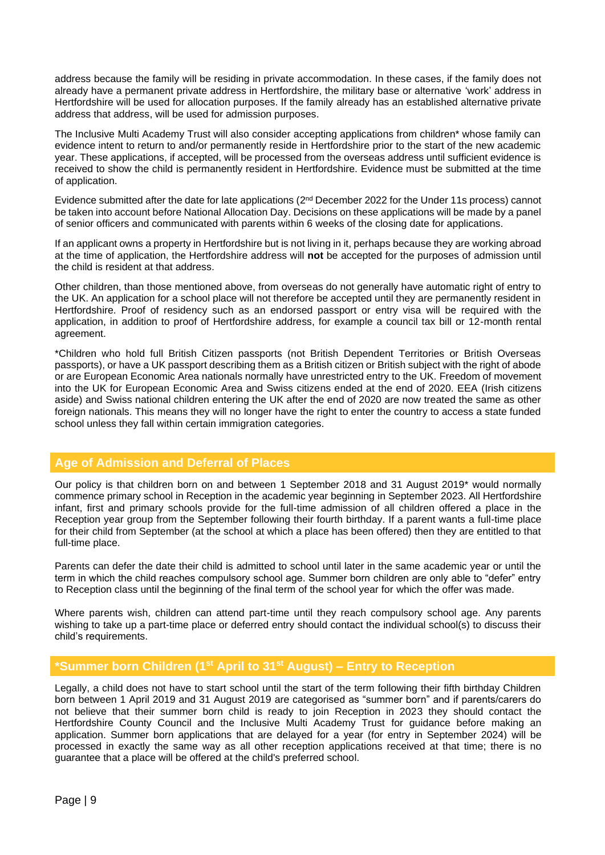address because the family will be residing in private accommodation. In these cases, if the family does not already have a permanent private address in Hertfordshire, the military base or alternative 'work' address in Hertfordshire will be used for allocation purposes. If the family already has an established alternative private address that address, will be used for admission purposes.

The Inclusive Multi Academy Trust will also consider accepting applications from children\* whose family can evidence intent to return to and/or permanently reside in Hertfordshire prior to the start of the new academic year. These applications, if accepted, will be processed from the overseas address until sufficient evidence is received to show the child is permanently resident in Hertfordshire. Evidence must be submitted at the time of application.

Evidence submitted after the date for late applications (2<sup>nd</sup> December 2022 for the Under 11s process) cannot be taken into account before National Allocation Day. Decisions on these applications will be made by a panel of senior officers and communicated with parents within 6 weeks of the closing date for applications.

If an applicant owns a property in Hertfordshire but is not living in it, perhaps because they are working abroad at the time of application, the Hertfordshire address will **not** be accepted for the purposes of admission until the child is resident at that address.

Other children, than those mentioned above, from overseas do not generally have automatic right of entry to the UK. An application for a school place will not therefore be accepted until they are permanently resident in Hertfordshire. Proof of residency such as an endorsed passport or entry visa will be required with the application, in addition to proof of Hertfordshire address, for example a council tax bill or 12-month rental agreement.

\*Children who hold full British Citizen passports (not British Dependent Territories or British Overseas passports), or have a UK passport describing them as a British citizen or British subject with the right of abode or are European Economic Area nationals normally have unrestricted entry to the UK. Freedom of movement into the UK for European Economic Area and Swiss citizens ended at the end of 2020. EEA (Irish citizens aside) and Swiss national children entering the UK after the end of 2020 are now treated the same as other foreign nationals. This means they will no longer have the right to enter the country to access a state funded school unless they fall within certain immigration categories.

# **Age of Admission and Deferral of Places**

Our policy is that children born on and between 1 September 2018 and 31 August 2019\* would normally commence primary school in Reception in the academic year beginning in September 2023. All Hertfordshire infant, first and primary schools provide for the full-time admission of all children offered a place in the Reception year group from the September following their fourth birthday. If a parent wants a full-time place for their child from September (at the school at which a place has been offered) then they are entitled to that full-time place.

Parents can defer the date their child is admitted to school until later in the same academic year or until the term in which the child reaches compulsory school age. Summer born children are only able to "defer" entry to Reception class until the beginning of the final term of the school year for which the offer was made.

Where parents wish, children can attend part-time until they reach compulsory school age. Any parents wishing to take up a part-time place or deferred entry should contact the individual school(s) to discuss their child's requirements.

# **\*Summer born Children (1st April to 31st August) – Entry to Reception**

Legally, a child does not have to start school until the start of the term following their fifth birthday Children born between 1 April 2019 and 31 August 2019 are categorised as "summer born" and if parents/carers do not believe that their summer born child is ready to join Reception in 2023 they should contact the Hertfordshire County Council and the Inclusive Multi Academy Trust for guidance before making an application. Summer born applications that are delayed for a year (for entry in September 2024) will be processed in exactly the same way as all other reception applications received at that time; there is no guarantee that a place will be offered at the child's preferred school.